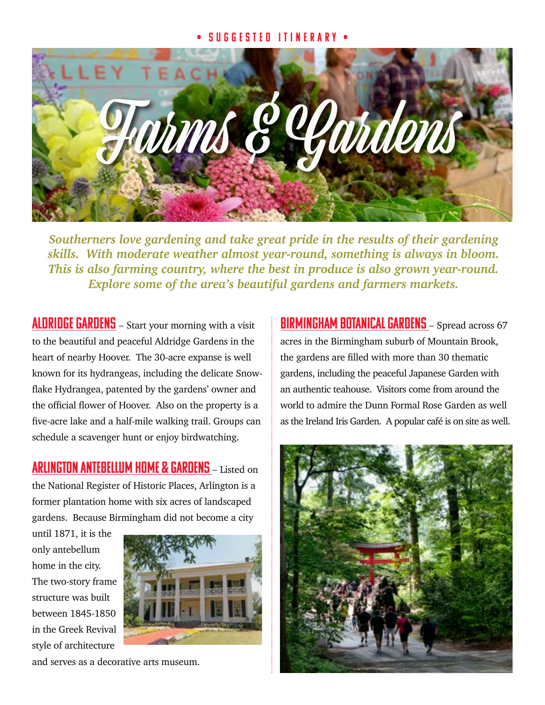## • Suggested Itinerary •



*Southerners love gardening and take great pride in the results of their gardening skills. With moderate weather almost year-round, something is always in bloom. This is also farming country, where the best in produce is also grown year-round. Explore some of the area's beautiful gardens and farmers markets.*

ALDRIDGE GARDENS – Start your morning with a visit to the beautiful and peaceful Aldridge Gardens in the heart of nearby Hoover. The 30-acre expanse is well known for its hydrangeas, including the delicate Snowflake Hydrangea, patented by the gardens' owner and the official flower of Hoover. Also on the property is a five-acre lake and a half-mile walking trail. Groups can schedule a scavenger hunt or enjoy birdwatching.

[Arlington Antebellum Home & Gardens](https://www.arlingtonantebellumhomeandgardens.com) – Listed on the National Register of Historic Places, Arlington is a former plantation home with six acres of landscaped gardens. Because Birmingham did not become a city

until 1871, it is the only antebellum home in the city. The two-story frame structure was built between 1845-1850 in the Greek Revival style of architecture



and serves as a decorative arts museum.

**BIRMINGHAM BOTANICAL GARDENS** – Spread across 67 acres in the Birmingham suburb of Mountain Brook, the gardens are filled with more than 30 thematic gardens, including the peaceful Japanese Garden with an authentic teahouse. Visitors come from around the world to admire the Dunn Formal Rose Garden as well as the Ireland Iris Garden. A popular café is on site as well.